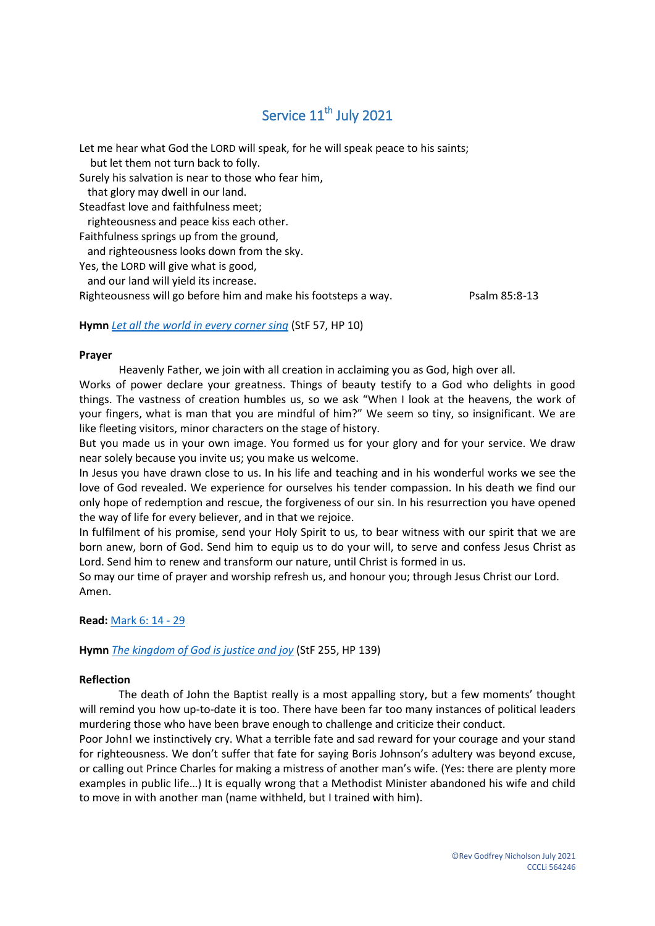# Service 11<sup>th</sup> July 2021

Let me hear what God the LORD will speak, for he will speak peace to his saints; but let them not turn back to folly. Surely his salvation is near to those who fear him, that glory may dwell in our land. Steadfast love and faithfulness meet; righteousness and peace kiss each other. Faithfulness springs up from the ground, and righteousness looks down from the sky. Yes, the LORD will give what is good, and our land will yield its increase. Righteousness will go before him and make his footsteps a way. Psalm 85:8-13

## **Hymn** *[Let all the world in every corner sing](https://www.youtube.com/watch?v=8XBJYphWv4g)* (StF 57, HP 10)

#### **Prayer**

Heavenly Father, we join with all creation in acclaiming you as God, high over all.

Works of power declare your greatness. Things of beauty testify to a God who delights in good things. The vastness of creation humbles us, so we ask "When I look at the heavens, the work of your fingers, what is man that you are mindful of him?" We seem so tiny, so insignificant. We are like fleeting visitors, minor characters on the stage of history.

But you made us in your own image. You formed us for your glory and for your service. We draw near solely because you invite us; you make us welcome.

In Jesus you have drawn close to us. In his life and teaching and in his wonderful works we see the love of God revealed. We experience for ourselves his tender compassion. In his death we find our only hope of redemption and rescue, the forgiveness of our sin. In his resurrection you have opened the way of life for every believer, and in that we rejoice.

In fulfilment of his promise, send your Holy Spirit to us, to bear witness with our spirit that we are born anew, born of God. Send him to equip us to do your will, to serve and confess Jesus Christ as Lord. Send him to renew and transform our nature, until Christ is formed in us.

So may our time of prayer and worship refresh us, and honour you; through Jesus Christ our Lord. Amen.

**Read:** [Mark 6:](https://www.biblegateway.com/passage/?search=Mark+6%3A+14+-+29&version=NIV) 14 - 29

**Hymn** *[The kingdom of God is justice and joy](https://www.youtube.com/watch?v=mOrkdW5NAM0)* (StF 255, HP 139)

### **Reflection**

The death of John the Baptist really is a most appalling story, but a few moments' thought will remind you how up-to-date it is too. There have been far too many instances of political leaders murdering those who have been brave enough to challenge and criticize their conduct.

Poor John! we instinctively cry. What a terrible fate and sad reward for your courage and your stand for righteousness. We don't suffer that fate for saying Boris Johnson's adultery was beyond excuse, or calling out Prince Charles for making a mistress of another man's wife. (Yes: there are plenty more examples in public life…) It is equally wrong that a Methodist Minister abandoned his wife and child to move in with another man (name withheld, but I trained with him).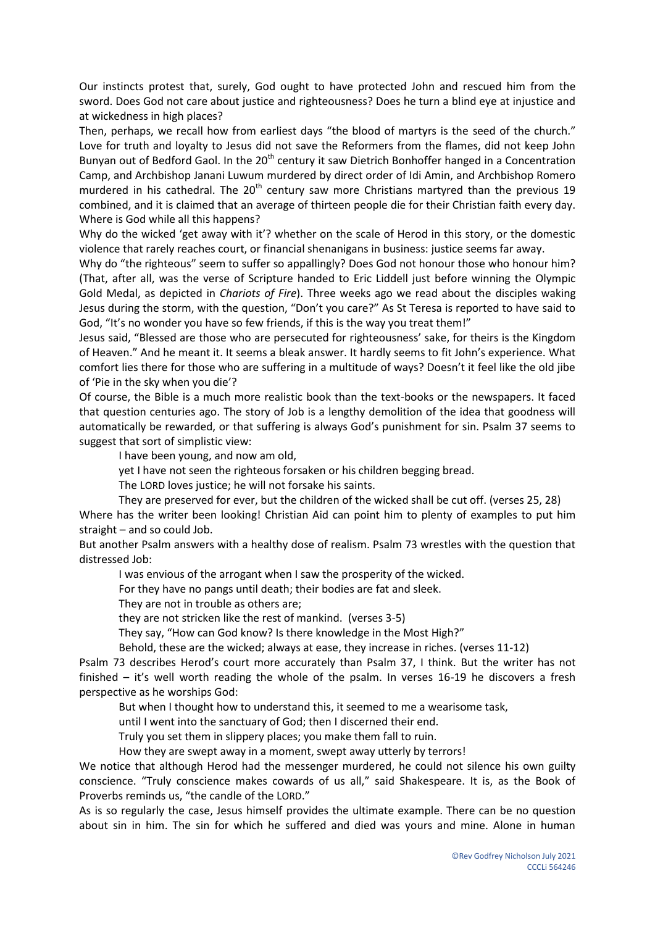Our instincts protest that, surely, God ought to have protected John and rescued him from the sword. Does God not care about justice and righteousness? Does he turn a blind eye at injustice and at wickedness in high places?

Then, perhaps, we recall how from earliest days "the blood of martyrs is the seed of the church." Love for truth and loyalty to Jesus did not save the Reformers from the flames, did not keep John Bunyan out of Bedford Gaol. In the 20<sup>th</sup> century it saw Dietrich Bonhoffer hanged in a Concentration Camp, and Archbishop Janani Luwum murdered by direct order of Idi Amin, and Archbishop Romero murdered in his cathedral. The  $20<sup>th</sup>$  century saw more Christians martyred than the previous 19 combined, and it is claimed that an average of thirteen people die for their Christian faith every day. Where is God while all this happens?

Why do the wicked 'get away with it'? whether on the scale of Herod in this story, or the domestic violence that rarely reaches court, or financial shenanigans in business: justice seems far away.

Why do "the righteous" seem to suffer so appallingly? Does God not honour those who honour him? (That, after all, was the verse of Scripture handed to Eric Liddell just before winning the Olympic Gold Medal, as depicted in *Chariots of Fire*). Three weeks ago we read about the disciples waking Jesus during the storm, with the question, "Don't you care?" As St Teresa is reported to have said to God, "It's no wonder you have so few friends, if this is the way you treat them!"

Jesus said, "Blessed are those who are persecuted for righteousness' sake, for theirs is the Kingdom of Heaven." And he meant it. It seems a bleak answer. It hardly seems to fit John's experience. What comfort lies there for those who are suffering in a multitude of ways? Doesn't it feel like the old jibe of 'Pie in the sky when you die'?

Of course, the Bible is a much more realistic book than the text-books or the newspapers. It faced that question centuries ago. The story of Job is a lengthy demolition of the idea that goodness will automatically be rewarded, or that suffering is always God's punishment for sin. Psalm 37 seems to suggest that sort of simplistic view:

I have been young, and now am old,

yet I have not seen the righteous forsaken or his children begging bread.

The LORD loves justice; he will not forsake his saints.

They are preserved for ever, but the children of the wicked shall be cut off. (verses 25, 28)

Where has the writer been looking! Christian Aid can point him to plenty of examples to put him straight – and so could Job.

But another Psalm answers with a healthy dose of realism. Psalm 73 wrestles with the question that distressed Job:

I was envious of the arrogant when I saw the prosperity of the wicked.

For they have no pangs until death; their bodies are fat and sleek.

They are not in trouble as others are;

they are not stricken like the rest of mankind. (verses 3-5)

They say, "How can God know? Is there knowledge in the Most High?"

Behold, these are the wicked; always at ease, they increase in riches. (verses 11-12)

Psalm 73 describes Herod's court more accurately than Psalm 37, I think. But the writer has not finished – it's well worth reading the whole of the psalm. In verses 16-19 he discovers a fresh perspective as he worships God:

But when I thought how to understand this, it seemed to me a wearisome task,

until I went into the sanctuary of God; then I discerned their end.

Truly you set them in slippery places; you make them fall to ruin.

How they are swept away in a moment, swept away utterly by terrors!

We notice that although Herod had the messenger murdered, he could not silence his own guilty conscience. "Truly conscience makes cowards of us all," said Shakespeare. It is, as the Book of Proverbs reminds us, "the candle of the LORD."

As is so regularly the case, Jesus himself provides the ultimate example. There can be no question about sin in him. The sin for which he suffered and died was yours and mine. Alone in human